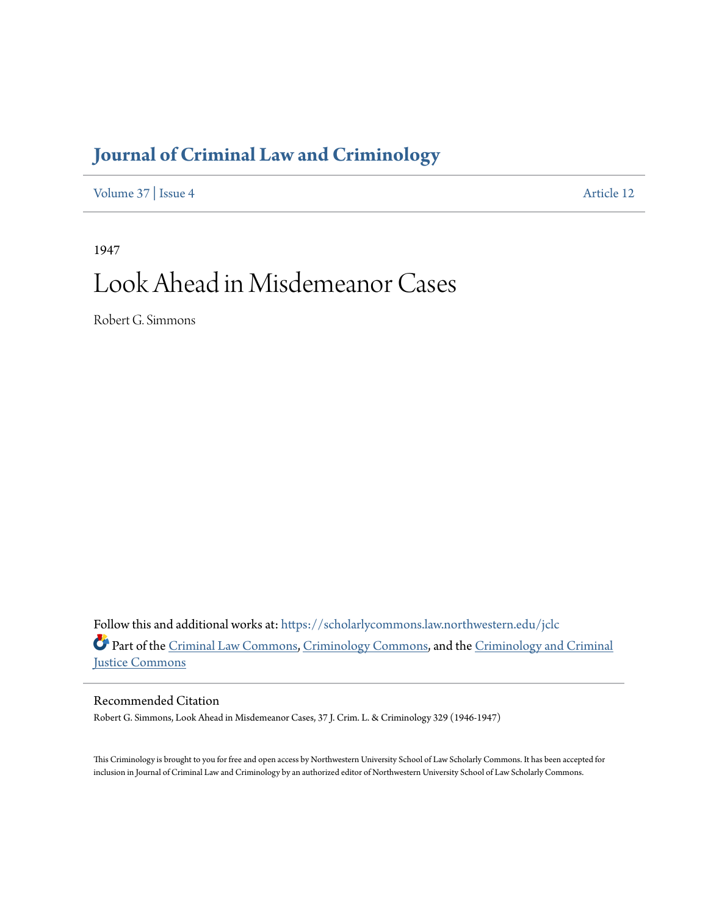## **[Journal of Criminal Law and Criminology](https://scholarlycommons.law.northwestern.edu/jclc?utm_source=scholarlycommons.law.northwestern.edu%2Fjclc%2Fvol37%2Fiss4%2F12&utm_medium=PDF&utm_campaign=PDFCoverPages)**

[Volume 37](https://scholarlycommons.law.northwestern.edu/jclc/vol37?utm_source=scholarlycommons.law.northwestern.edu%2Fjclc%2Fvol37%2Fiss4%2F12&utm_medium=PDF&utm_campaign=PDFCoverPages) | [Issue 4](https://scholarlycommons.law.northwestern.edu/jclc/vol37/iss4?utm_source=scholarlycommons.law.northwestern.edu%2Fjclc%2Fvol37%2Fiss4%2F12&utm_medium=PDF&utm_campaign=PDFCoverPages) [Article 12](https://scholarlycommons.law.northwestern.edu/jclc/vol37/iss4/12?utm_source=scholarlycommons.law.northwestern.edu%2Fjclc%2Fvol37%2Fiss4%2F12&utm_medium=PDF&utm_campaign=PDFCoverPages)

1947

## Look Ahead in Misdemeanor Cases

Robert G. Simmons

Follow this and additional works at: [https://scholarlycommons.law.northwestern.edu/jclc](https://scholarlycommons.law.northwestern.edu/jclc?utm_source=scholarlycommons.law.northwestern.edu%2Fjclc%2Fvol37%2Fiss4%2F12&utm_medium=PDF&utm_campaign=PDFCoverPages) Part of the [Criminal Law Commons](http://network.bepress.com/hgg/discipline/912?utm_source=scholarlycommons.law.northwestern.edu%2Fjclc%2Fvol37%2Fiss4%2F12&utm_medium=PDF&utm_campaign=PDFCoverPages), [Criminology Commons](http://network.bepress.com/hgg/discipline/417?utm_source=scholarlycommons.law.northwestern.edu%2Fjclc%2Fvol37%2Fiss4%2F12&utm_medium=PDF&utm_campaign=PDFCoverPages), and the [Criminology and Criminal](http://network.bepress.com/hgg/discipline/367?utm_source=scholarlycommons.law.northwestern.edu%2Fjclc%2Fvol37%2Fiss4%2F12&utm_medium=PDF&utm_campaign=PDFCoverPages) [Justice Commons](http://network.bepress.com/hgg/discipline/367?utm_source=scholarlycommons.law.northwestern.edu%2Fjclc%2Fvol37%2Fiss4%2F12&utm_medium=PDF&utm_campaign=PDFCoverPages)

Recommended Citation

Robert G. Simmons, Look Ahead in Misdemeanor Cases, 37 J. Crim. L. & Criminology 329 (1946-1947)

This Criminology is brought to you for free and open access by Northwestern University School of Law Scholarly Commons. It has been accepted for inclusion in Journal of Criminal Law and Criminology by an authorized editor of Northwestern University School of Law Scholarly Commons.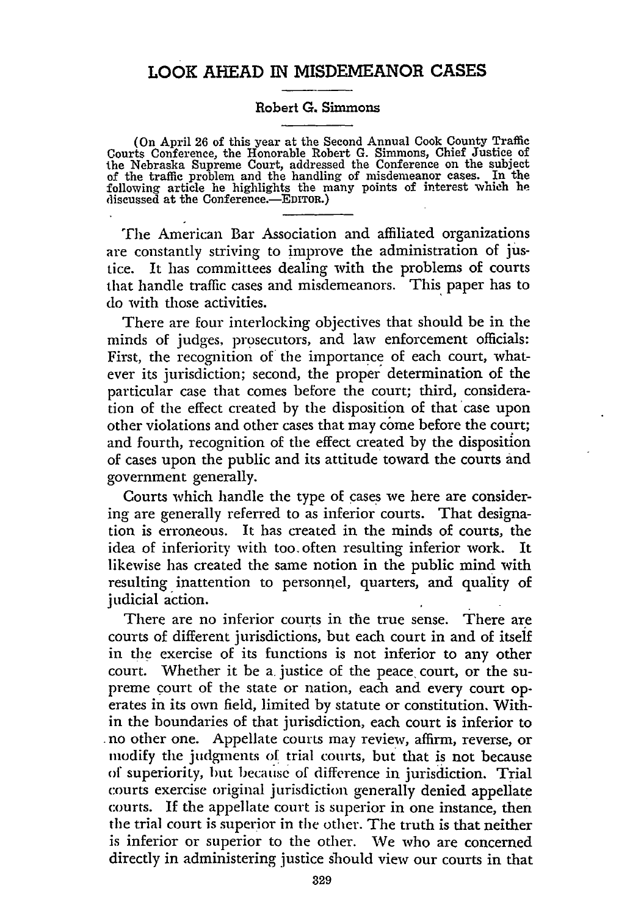## LOOK **AHEAD** IN **MISDEMEANOR CASES**

## Robert G. Simmons

(On April 26 of this year at the Second Annual Cook County Traffic Courts Conference, the Honorable Robert G. Simmons, Chief Justice of the Nebraska Supreme Court, addressed the Conference on the subject of the traffic problem and the handling of misdemeanor cases. In the following article he highlights the many points of interest which he discussed at the Conference.-EDIToR.)

The American Bar Association and affiliated organizations are constantly striving to improve the administration of justice. It has committees dealing with the problems of courts that handle traffic cases and misdemeanors. This paper has to do with those activities.

There are four interlocking objectives that should be in the minds of judges, prosecutors, and law enforcement officials: First, the recognition of the importance of each court, whatever its jurisdiction; second, the proper determination of the particular case that comes before the court; third, consideration of the effect created by the disposition of that'case upon other violations and other cases that may come before the court; and fourth, recognition of the effect created by the disposition of cases upon the public and its attitude toward the courts and government generally.

Courts which handle the type of cases we here are considering are generally referred to as inferior courts. That designation is erroneous. It has created in the minds of courts, the idea of inferiority with too. often resulting inferior work. It likewise has created the same notion in the public mind with resulting inattention to personnel, quarters, and quality of judicial action.

There are no inferior courts in the true sense. There are courts of different jurisdictions, but each court in and of itself in the exercise of its functions is not inferior to any other court. Whether it be a. justice of the peace, court, or the supreme court of the state or nation, each and every court operates in its own field, limited by statute or constitution. Within the boundaries of that jurisdiction, each court is inferior to **.no** other one. Appellate courts may review, affirm, reverse, or modify the judgnents of trial courts, but that is not because of superiority, but because of difference in jurisdiction. Trial courts exercise original jurisdiction generally denied appellate courts. **If** the appellate court is superior in one instance, then the trial court is superior in the other. The truth is that neither is inferior or superior to the other. We who are concerned directly in administering justice should view our courts in that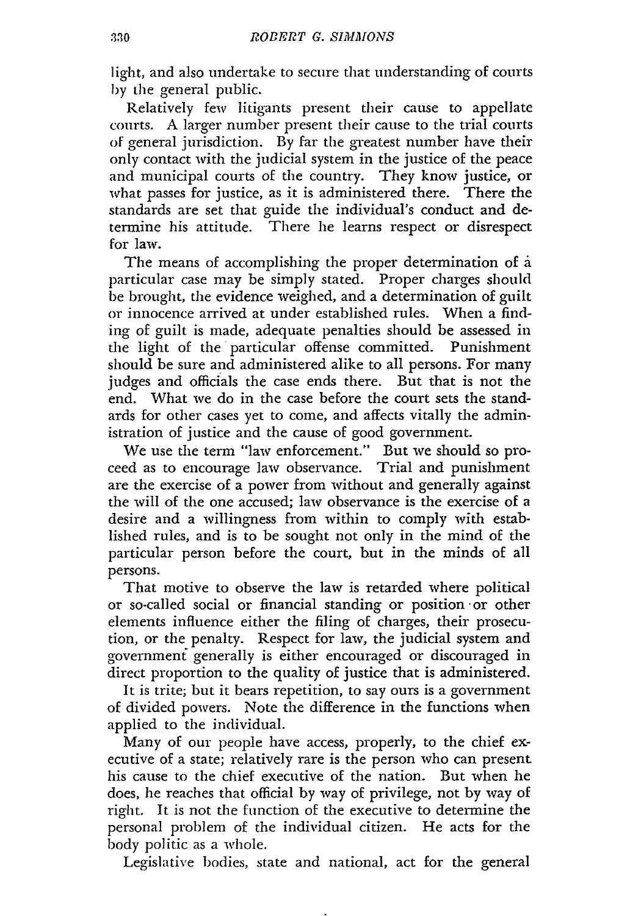light, and also undertake to secure that understanding of courts by the general public.

Relatively few litigants present their cause to appellate courts. A larger number present their cause to the trial courts of general jurisdiction. By far the greatest number have their only contact with the judicial system in the justice of the peace and municipal courts of the country. They know justice, or what passes for justice, as it is administered there. There the standards are set that guide the individual's conduct and determine his attitude. There he learns respect or disrespect for law.

The means of accomplishing the proper determination of a particular case may be simply stated. Proper charges should be brought, the evidence weighed, and a determination of guilt or innocence arrived at under established rules. When a finding of guilt is made, adequate penalties should be assessed in the light of the particular offense committed. Punishment should be sure and administered alike to all persons. For many judges and officials the case ends there. But that is not the end. What we do in the case before the court sets the standards for other cases yet to come, and affects vitally the administration of justice and the cause of good government.

We use the term "law enforcement." But we should so proceed as to encourage law observance. Trial and punishment are the exercise of a power from without and generally against the will of the one accused; law observance is the exercise of a desire and a willingness from within to comply with established rules, and is to be sought not only in the mind of the particular person before the court, but in the minds of all persons.

That motive to observe the law is retarded where political or so-called social or financial standing or position -or other elements influence either the filing of charges, their prosecution, or the penalty. Respect for law, the judicial system and government generally is either encouraged or discouraged in direct proportion to the quality of justice that is administered.

It is trite; but it bears repetition, to say ours is a government of divided powers. Note the difference in the functions when applied to the individual.

Many of our people have access, properly, to the chief executive of a state; relatively rare is the person who can present his cause to the chief executive of the nation. But when he does, he reaches that official by way of privilege, not by way of right. It is not the function of the executive to determine the personal problem of the individual citizen. He acts for the body politic as a whole.

Legislative bodies, state and national, act for the general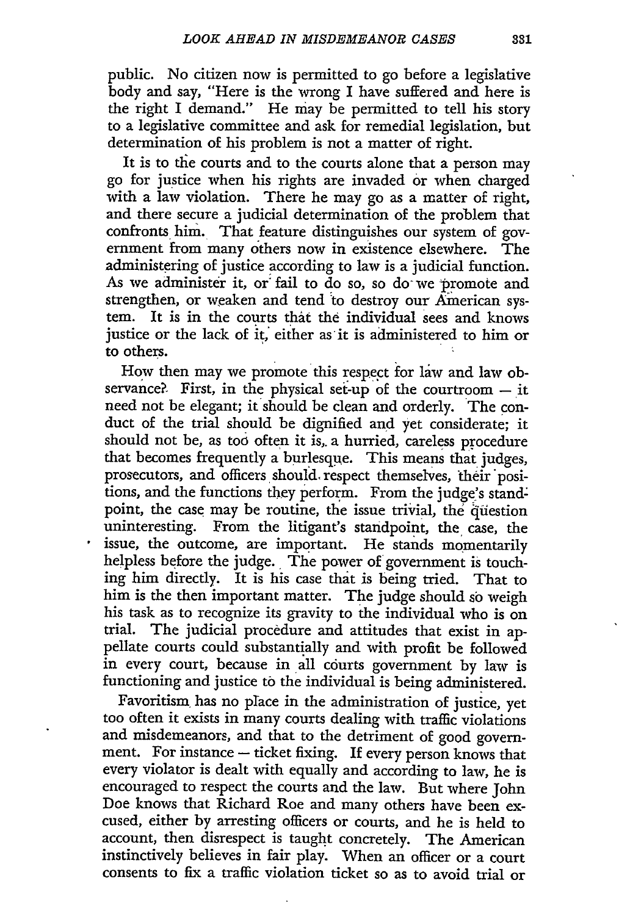public. No citizen now is permitted to go before a legislative body and say, "Here is the wrong I have suffered and here is the right I demand." He may be permitted to tell his story to a legislative committee and ask for remedial legislation, but determination of his problem is not a matter of right.

It is to the courts and to the courts alone that a person may go for justice when his rights are invaded or when charged with a law violation. There he may go as a matter of right, and there secure a judicial determination of the problem that confronts him. That feature distinguishes our system of government from many others now in existence elsewhere. The administering of justice according to law is a judicial function. As we administer it, or fail to do so, so do we promote and strengthen, or weaken and tend 'to destroy our American system. It is in the courts that the individual sees and knows justice or the lack of *it,* either as it is administered to him or to others.

How then may we promote this respect for law and law observance? First, in the physical set-up of the courtroom  $-$  it need not be elegant; it should be clean and orderly. The conduct of the trial should be dignified and yet considerate; it should not be, as too often it is, a hurried, careless procedure that becomes frequently a burlesque. This means that judges, prosecutors, and officers should respect themselves, their positions, and the functions they perform. From the judge's standpoint, the case may be routine, the issue trivial, the question uninteresting. From the litigant's standpoint, the case, the issue, the outcome, are important. He stands momentarily helpless before the judge. The power of government is touching him directly. It is his case that is being tried. That to him is the then important matter. The judge should so weigh his task as to recognize its gravity to the individual who is on trial. The judicial procedure and attitudes that exist in appellate courts could substantially and with profit be followed in every court, because in all courts government by law is functioning and justice to the individual is being administered.

Favoritism has no place in the administration of justice, yet too often it exists in many courts dealing with traffic violations and misdemeanors, and that to the detriment of good government. For instance - ticket fixing. If every person knows that every violator is dealt with equally and according to law, he is encouraged to respect the courts and the law. But where John Doe knows that Richard Roe and many others have been excused, either by arresting officers or courts, and he is held to account, then disrespect is taught concretely. The American instinctively believes in fair play. When an officer or a court consents to fix a traffic violation ticket so as to avoid trial or